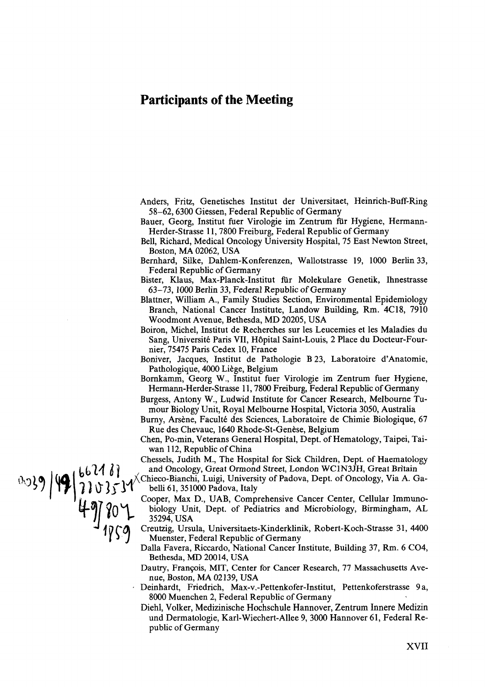## **Participants of the Meeting**

- Anders, Fritz, Genetisches Institut der Universitaet, Heinrich-Buff-Ring 58-62,6300 Giessen, Federal Republic of Germany
- Bauer, Georg, Institut fuer Virologie im Zentrum für Hygiene, Hermann-Herder-Strasse 11,7800 Freiburg, Federal Republic of Germany
- Bell, Richard, Medical Oncology University Hospital, 75 East Newton Street, Boston, **MA** 02062, USA
- Bernhard, Silke, Dahlem-Konferenzen, Wallotstrasse 19, 1000 Berlin 33, Federal Republic of Germany
- Bister, Klaus, Max-Planck-Institut für Molekulare Genetik, Ihnestrasse 63-73, 1000 Berlin 33, Federal Republic of Germany
- Blattner, William A., Family Studies Section, Environmental Epidemiology Branch, National Cancer Institute, Landow Building, Rm. 4C18, 7910 Woodmont Avenue, Bethesda, MD 20205, USA
- Boiron, Michel, Institut de Recherches sur les Leucemies et les Maladies du Sang, Université Paris VII, Hôpital Saint-Louis, 2 Place du Docteur-Fournier, 75475 Paris Cedex 10, France
- Boniver, Jacques, Institut de Pathologie B **23,** Laboratoire d'Anatomie, Pathologique, 4000 Liege, Belgium
- Bornkamm, Georg W., Institut fuer Virologie im Zentrum fuer Hygiene, Hermann-Herder-Strasse 11,7800 Freiburg, Federal Republic of Germany
- Burgess, Antony W., Ludwid Institute for Cancer Research, Melbourne Tumour Biology Unit, Royal Melbourne Hospital, Victoria 3050, Australia
- Burny, Arsène, Faculté des Sciences, Laboratoire de Chimie Biologique, 67 Rue des Chevauc, 1640 Rhode-St-Genèse, Belgium
- Chen, Po-min, Veterans General Hospital, Dept. of Hematology, Taipei, Taiwan 112, Republic of China
- Chessels, Judith M., The Hospital for Sick Children, Dept. of Haematology and Oncology, Great Ormond Street, London WC1N3JH, Great Britain<br>Chieco-Bianchi, Luigi, University of Padova, Dept. of Oncology, Via A. Ga-
- - Cooper, Max D., UAB, Comprehensive Cancer Center, Cellular Immunobiology Unit, Dept. of Pediatrics and Microbiology, Birmingham, AL 35294, USA
	- Creutzig, Ursula, Universitaets-Kinderklinik, Robert-Koch-Strasse 31, 4400 Muenster, Federal Republic of Germany
	- Dalla Favera, Riccardo, National Cancer Institute, Building 37, Rm. 6 C04, Bethesda, MD 20014, USA
	- Dautry, Frangois, MIT, Center for Cancer Research, 77 Massachusetts Avenue, Boston, MA 02139, USA
	- Deinhardt, Friedrich, **Max-V.-Pettenkofer-Institut,** Pettenkoferstrasse 9a, 8000 Muenchen 2, Federal Republic of Germany
	- Diehl, Volker, Medizinische Hochschule Hannover, Zentrum Innere Medizin und Dermatologie, Karl-Wiechert-Allee 9, 3000 Hannover 61, Federal Republic of Germany

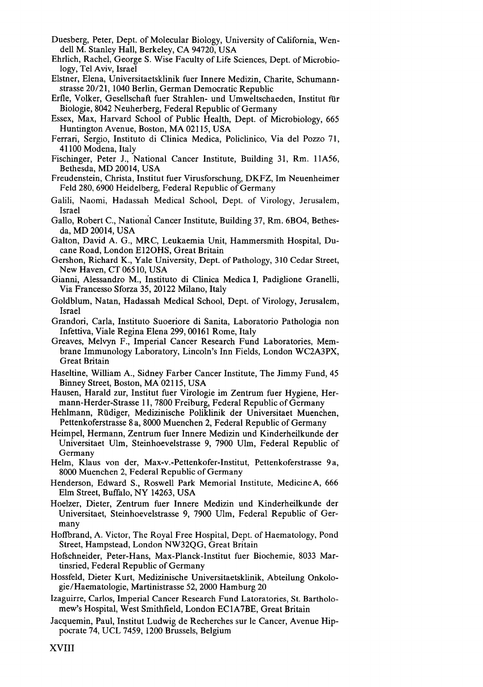- Duesberg, Peter, Dept. of Molecular Biology, University of California, Wendell M. Stanley Hall, Berkeley, CA 94720, USA
- Ehrlich, Rachel, George S. Wise Faculty of Life Sciences, Dept. of Microbiology, Te1 Aviv, Israel
- Elstner, Elena, Universitaetsklinik fuer Innere Medizin, Charite, Schumann-Strasse 20/21, 1040 Berlin, German Democratic Republic
- Erfle, Volker, Gesellschaft fuer Strahlen- und Umweltschaeden, Institut für Biologie, 8042 Neuherberg, Federal Republic of Germany
- Essex, Max, Harvard School of Public Health, Dept. of Microbiology, 665 Huntington Avenue, Boston, MA 02115, USA
- Ferrari, Sergio, Instituto di Clinica Medica, Policlinico, Via del Pozzo 71, 41 100 Modena, Italy
- Fischinger, Peter J., National Cancer Institute, Building 31, Rm. llA56, Bethesda, MD 20014, USA
- Freudenstein, Christa, Institut fuer Virusforschung, DKFZ, Im Neuenheimer Feld 280,6900 Heidelberg, Federal Republic of Germany
- Galili, Naomi, Hadassah Medical School, Dept. of Virology, Jerusalem, Israel
- Gallo, Robert C., National Cancer Institute, Building 37, Rm. 6BO4, Bethesda, MD 20014, USA
- Galton, David A. G., MRC, Leukaemia Unit, Hammersmith Hospital, Ducane Road, London E120HS, Great Britain
- Gershon, Richard K., Yale University, Dept. of Pathology, 310 Cedar Street, New Haven, CT 065 10, USA
- Gianni, Alessandro M., Instituto di Clinica Medica I, Padiglione Granelli, Via Francesso Sforza 35,20122 Milano, Italy
- Goldblum, Natan, Hadassah Medical School, Dept. of Virology, Jerusalem, Israel
- Grandori, Carla, Instituto Suoeriore di Sanita, Laboratorio Pathologia non Infettiva, Viale Regina Elena 299,00161 Rome, Italy
- Greaves, Melvyn F., Imperial Cancer Research Fund Laboratories, Membrane Immunology Laboratory, Lincoln's Inn Fields, London WC2A3PX, Great Britain
- Haseltine, William A., Sidney Farber Cancer Institute, The Jimmy Fund, 45 Binney Street, Boston, **MA** 021 15, USA
- Hausen, Harald zur, Institut fuer Virologie im Zentrum fuer Hygiene, Hermann-Herder-Strasse 11,7800 Freiburg, Federal Republic of Germany
- Hehlmann, Rüdiger, Medizinische Poliklinik der Universitaet Muenchen, Pettenkoferstrasse 8 a, 8000 Muenchen 2, Federal Republic of Germany
- Heimpel, Hermann, Zentrum fuer Innere Medizin und Kinderheilkunde der Universitaet Ulm, Steinhoevelstrasse 9, 7900 Ulm, Federal Republic of Germany
- Helm, Klaus von der, **Max-V.-Pettenkofer-Institut,** Pettenkoferstrasse 9a, 8000 Muenchen 2, Federal Republic of Germany
- Henderson, Edward S., Roswell Park Memorial Institute, MedicineA, 666 Elm Street, Buffalo, NY 14263, USA
- Hoelzer, Dieter, Zentrum fuer Innere Medizin und Kinderheilkunde der Universitaet, Steinhoevelstrasse 9, 7900 Ulm, Federal Republic of Germany
- Hoffbrand, **A.** Victor, The Royal Free Hospital, Dept. of Haematology, Pond Street, Hampstead, London NW32QG, Great Britain
- Hofschneider, Peter-Hans, Max-Planck-Institut fuer Biochemie, 8033 Martinsried, Federal Republic of Germany
- Hossfeld, Dieter Kurt, Medizinische Universitaetsklinik, Abteilung Onkologie/Haematologie, Martinistrasse 52, 2000 Hamburg 20
- Izaguirre, Carlos, Imperial Cancer Research Fund Latoratories, St. Bartholomew's Hospital, West Smithfield, London EC1A7BE, Great Britain
- Jacquemin, Paul, Institut Ludwig de Recherches sur le Cancer, Avenue Hippocrate 74, UCL 7459, 1200 Brussels, Belgium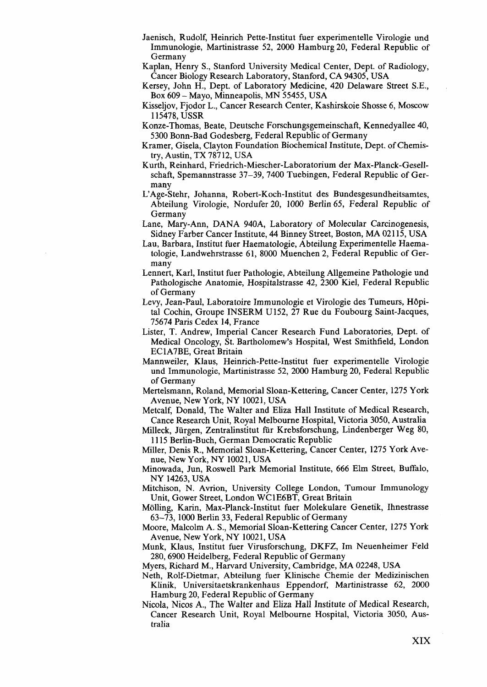- Jaenisch, Rudolf, Heinrich Pette-Institut fuer experimentelle Virologie und Immunologie, Martinistrasse 52, 2000 Hamburg 20, Federal Republic of Germany
- Kaplan, Henry S., Stanford University Medical Center, Dept. of Radiology, Cancer Biology Research Laboratory, Stanford, CA 94305, USA
- Kersey, John H., Dept. of Laboratory Medicine, 420 Delaware Street S.E., Box 609 - Mayo, Minneapolis, MN 55455, USA
- Kisseljov, Fjodor L., Cancer Research Center, Kashirskoie Shosse 6, Moscow 115478, USSR
- Konze-Thomas, Beate, Deutsche Forschungsgemeinschaft, Kennedyallee 40, 5300 Bonn-Bad Godesberg, Federal Republic of Germany
- Kramer, Gisela, Clayton Foundation Biochemical Institute, Dept. of Chemistry, Austin, TX 787 12, USA
- Kurth, Reinhard, Friedrich-Miescher-Laboratorium der Max-Planck-Gesellschaft, Spemannstrasse 37-39, 7400 Tuebingen, Federal Republic of Germany
- L'Age-Stehr, Johanna, Robert-Koch-Institut des Bundesgesundheitsamtes, Abteilung Virologie, Nordufer 20, 1000 Berlin 65, Federal Republic of Germany
- Lane, Mary-Ann, DANA 940A, Laboratory of Molecular Carcinogenesis, Sidney Farber Cancer Institute, 44 Binney Street, Boston, MA 021 15, USA
- Lau, Barbara, Institut fuer Haematologie, Abteilung Experimentelle Haematologie, Landwehrstrasse 61, 8000 Muenchen 2, Federal Republic of Germany
- Lennert, Karl, Institut fuer Pathologie, Abteilung Allgemeine Pathologie und Pathologische Anatomie, Hospitalstrasse 42, 2300 Kiel, Federal Republic of Germany
- Levy, Jean-Paul, Laboratoire Immunologie et Virologie des Tumeurs, HGpital Cochin, Groupe INSERM U152, 27 Rue du Foubourg Saint-Jacques, 75674 Paris Cedex 14, France
- Lister, T. Andrew, Imperial Cancer Research Fund Laboratories, Dept. of Medical Oncology, St. Bartholomew's Hospital, West Smithfield, London EClA7BE, Great Britain
- Mannweiler, Klaus, Heinrich-Pette-Institut fuer experimentelle Virologie und Immunologie, Martinistrasse 52, 2000 Hamburg 20, Federal Republic of Germany
- Mertelsmann, Roland, Memorial Sloan-Kettering, Cancer Center, 1275 York Avenue, New York, NY 10021, USA
- Metcalf, Donald, The Walter and Eliza Hall Institute of Medical Research, Cance Research Unit, Royal Melbourne Hospital, Victoria 3050, Australia
- Milleck, Jürgen, Zentralinstitut für Krebsforschung, Lindenberger Weg 80, 11 15 Berlin-Buch, German Democratic Republic
- Miller, Denis R., Memorial Sloan-Kettering, Cancer Center, 1275 York Avenue, New York, NY 10021, USA
- Minowada, Jun, Roswell Park Memorial Institute, 666 Elm Street, Buffalo, NY 14263, USA
- Mitchison, N. Avrion, University College London, Tumour Immunology Unit, Gower Street, London WClE6BT, Great Britain
- Mölling, Karin, Max-Planck-Institut fuer Molekulare Genetik, Ihnestrasse 63-73, 1000 Berlin 33, Federal Republic of Germany
- Moore, Malcolm A. S., Memorial Sloan-Kettering Cancer Center, 1275 York Avenue, New York, NY 10021, USA
- Munk, Klaus, Institut fuer Virusforschung, DKFZ, Im Neuenheimer Feld 280,6900 Heidelberg, Federal Republic of Germany
- Myers, Richard M., Harvard University, Cambridge, MA 02248, USA
- Neth, Rolf-Dietmar, Abteilung fuer Klinische Chemie der Medizinischen Klinik, Universitaetskrankenhaus Eppendorf, Martinistrasse 62, 2000 Hamburg 20, Federal Republic of Germany
- Nicola, Nicos **A.,** The Walter and Eliza Hall Institute of Medical Research, Cancer Research Unit, Royal Melbourne Hospital, Victoria 3050, Australia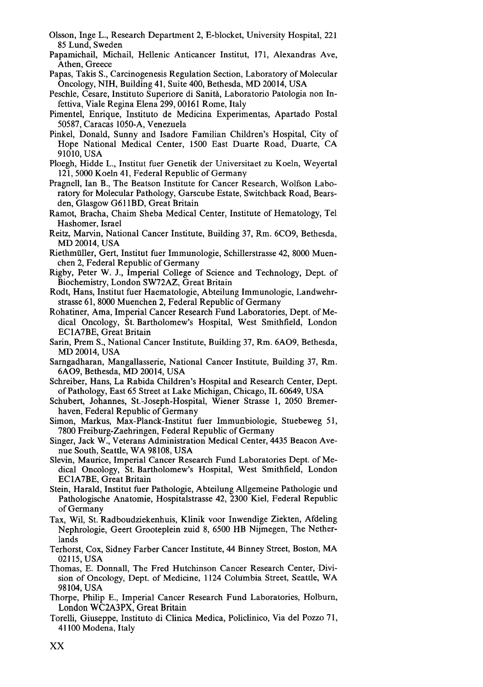- Olsson, Inge L., Research Department 2, E-blocket, University Hospital, 221 85 Lund, Sweden
- Papamichail, Michail, Hellenic Anticancer Institut, 171, Alexandras Ave, Athen, Greece
- Papas, Takis S., Carcinogenesis Regulation Section, Laboratory of Molecular Oncology, NIH, Building 41, Suite 400, Bethesda, MD 20014, USA
- Peschle, Cesare, Instituto Superiore di Sanith, Laboratorio Patologia non Infettiva, Viale Regina Elena 299,00161 Rome, Italy
- Pimentel, Enrique, Instituto de Medicina Experimentas, Apartado Postal 50587, Caracas 1050-A, Venezuela
- Pinkel, Donald, Sunny and Isadore Familian Children's Hospital, City of Hope National Medical Center, 1500 East Duarte Road, Duarte, CA 91010, USA
- Ploegh, Hidde L., Institut fuer Genetik der Universitaet zu Koeln, Weyertal 121,5000 Koeln 41, Federal Republic of Germany
- Pragnell, Ian B., The Beatson Institute for Cancer Research, Wolfson Laboratory for Molecular Pathology, Garscube Estate, Switchback Road, Bearsden, Glasgow G61 lBD, Great Britain
- Ramot, Bracha, Chaim Sheba Medical Center, Institute of Hematology, Te1 Hashomer, Israel
- Reitz, Marvin, National Cancer Institute, Building 37, Rm. 6C09, Bethesda, MD 20014, USA
- Riethmüller, Gert, Institut fuer Immunologie, Schillerstrasse 42, 8000 Muenchen 2, Federal Republic of Germany
- Rigby, Peter W. J., Imperial College of Science and Technology, Dept. of Biochemistry, London SW72AZ, Great Britain
- Rodt, Hans, Institut fuer Haematologie, Abteilung Immunologie, Landwehrstrasse 61, 8000 Muenchen 2, Federal Republic of Germany
- Rohatiner, Ama, Imperial Cancer Research Fund Laboratories, Dept. of Medical Oncology, St. Bartholomew's Hospital, West Smithfield, London EClA7BE, Great Britain
- Sarin, Prem S., National Cancer Institute, Building 37, Rm. 6A09, Bethesda, MD 20014, USA
- Sarngadharan, Mangallasserie, National Cancer Institute, Building 37, Rm. 6A09, Bethesda, MD 20014, USA
- Schreiber, Hans, La Rabida Children's Hospital and Research Center, Dept. of Pathology, East 65 Street at Lake Michigan, Chicago, IL 60649, USA
- Schubert, Johannes, St.-Joseph-Hospital, Wiener Strasse 1, 2050 Bremerhaven, Federal Republic of Germany
- Simon, Markus, Max-Planck-Institut fuer Immunbiologie, Stuebeweg 51, 7800 Freiburg-Zaehringen, Federal Republic of Germany
- Singer, Jack W., Veterans Administration Medical Center, 4435 Beacon Avenue South, Seattle, WA 98108, USA
- Slevin, Maurice, Imperial Cancer Research Fund Laboratories Dept. of Medical Oncology, St. Bartholomew's Hospital, West Smithfield, London EClA7BE, Great Britain
- Stein, Harald, Institut fuer Pathologie, Abteilung Allgemeine Pathologie und Pathologische Anatomie, Hospitalstrasse 42, 2300 Kiel, Federal Republic of Germany
- Tax, Wil, St. Radboudziekenhuis, Klinik voor Inwendige Ziekten, Afdeling Nephrologie, Geert Grooteplein zuid 8, 6500 HB Nijmegen, The Netherlands
- Terhorst, Cox, Sidney Farber Cancer Institute, 44 Binney Street, Boston, **MA**  021 15, USA
- Thomas, E. Donnall, The Fred Hutchinson Cancer Research Center, Division of Oncology, Dept. of Medicine, 1124 Columbia Street, Seattle, WA 98 104, USA
- Thorpe, Philip E., Imperial Cancer Research Fund Laboratories, Holburn, London **WC2A3PX,** Great Britain
- Torelli, Giuseppe, Instituto di Clinica Medica, Policlinico, Via del Pozzo 7 1, 41 100 Modena, Italy